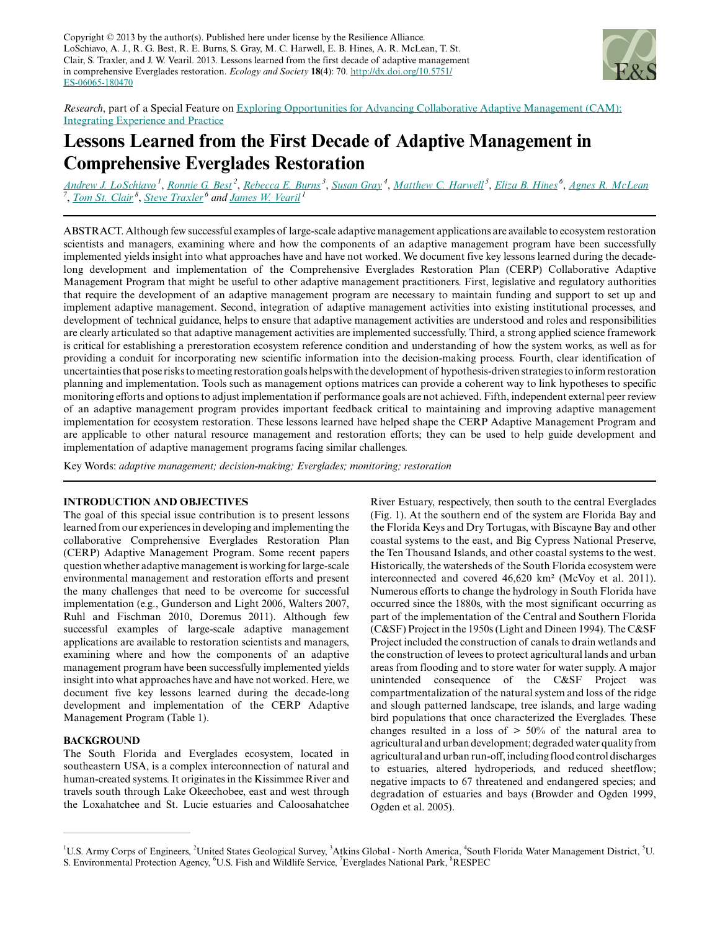Copyright  $© 2013$  by the author(s). Published here under license by the Resilience Alliance. LoSchiavo, A. J., R. G. Best, R. E. Burns, S. Gray, M. C. Harwell, E. B. Hines, A. R. McLean, T. St. Clair, S. Traxler, and J. W. Vearil. 2013. Lessons learned from the first decade of adaptive management in comprehensive Everglades restoration. *Ecology and Society* **18**(4): 70. [http://dx.doi.org/10.5751/](http://dx.doi.org/10.5751/ES-06065-180470) [ES-06065-180470](http://dx.doi.org/10.5751/ES-06065-180470)



*Research*, part of a Special Feature on [Exploring Opportunities for Advancing Collaborative Adaptive Management \(CAM\):](http://www.ecologyandsociety.org/viewissue.php?sf=77) [Integrating Experience and Practice](http://www.ecologyandsociety.org/viewissue.php?sf=77)

# **Lessons Learned from the First Decade of Adaptive Management in Comprehensive Everglades Restoration**

*[Andrew J. LoSchiavo](mailto:andrew.j.loschiavo@usace.army.mil)<sup>1</sup>* , *[Ronnie G. Best](mailto:Ronnie_Best@usgs.gov)<sup>2</sup>* , *[Rebecca E. Burns](mailto:Rebecca.Burns@atkinsglobal.com)<sup>3</sup>* , *[Susan Gray](mailto:sgray@sfwmd.gov)<sup>4</sup>* , *[Matthew C. Harwell](mailto:Harwell.Matthew@epamail.epa.gov)<sup>5</sup>* , *[Eliza B. Hines](mailto:Eliza_Hines@fws.gov)<sup>6</sup>* , *[Agnes R. McLean](mailto:Agnes_McLean@nps.gov) 7* , *[Tom St. Clair](mailto:Tom.stclair@respec.com)<sup>8</sup>* , *[Steve Traxler](mailto:Steve_Traxler@fws.gov)<sup>6</sup> and [James W. Vearil](mailto:James.W.Vearil@usace.army.mil)<sup>1</sup>*

ABSTRACT. Although few successful examples of large-scale adaptive management applications are available to ecosystem restoration scientists and managers, examining where and how the components of an adaptive management program have been successfully implemented yields insight into what approaches have and have not worked. We document five key lessons learned during the decadelong development and implementation of the Comprehensive Everglades Restoration Plan (CERP) Collaborative Adaptive Management Program that might be useful to other adaptive management practitioners. First, legislative and regulatory authorities that require the development of an adaptive management program are necessary to maintain funding and support to set up and implement adaptive management. Second, integration of adaptive management activities into existing institutional processes, and development of technical guidance, helps to ensure that adaptive management activities are understood and roles and responsibilities are clearly articulated so that adaptive management activities are implemented successfully. Third, a strong applied science framework is critical for establishing a prerestoration ecosystem reference condition and understanding of how the system works, as well as for providing a conduit for incorporating new scientific information into the decision-making process. Fourth, clear identification of uncertainties that pose risks to meeting restoration goals helps with the development of hypothesis-driven strategies to inform restoration planning and implementation. Tools such as management options matrices can provide a coherent way to link hypotheses to specific monitoring efforts and options to adjust implementation if performance goals are not achieved. Fifth, independent external peer review of an adaptive management program provides important feedback critical to maintaining and improving adaptive management implementation for ecosystem restoration. These lessons learned have helped shape the CERP Adaptive Management Program and are applicable to other natural resource management and restoration efforts; they can be used to help guide development and implementation of adaptive management programs facing similar challenges.

Key Words: *adaptive management; decision-making; Everglades; monitoring; restoration*

#### **INTRODUCTION AND OBJECTIVES**

The goal of this special issue contribution is to present lessons learned from our experiences in developing and implementing the collaborative Comprehensive Everglades Restoration Plan (CERP) Adaptive Management Program. Some recent papers question whether adaptive management is working for large-scale environmental management and restoration efforts and present the many challenges that need to be overcome for successful implementation (e.g., Gunderson and Light 2006, Walters 2007, Ruhl and Fischman 2010, Doremus 2011). Although few successful examples of large-scale adaptive management applications are available to restoration scientists and managers, examining where and how the components of an adaptive management program have been successfully implemented yields insight into what approaches have and have not worked. Here, we document five key lessons learned during the decade-long development and implementation of the CERP Adaptive Management Program (Table 1).

### **BACKGROUND**

The South Florida and Everglades ecosystem, located in southeastern USA, is a complex interconnection of natural and human-created systems. It originates in the Kissimmee River and travels south through Lake Okeechobee, east and west through the Loxahatchee and St. Lucie estuaries and Caloosahatchee

River Estuary, respectively, then south to the central Everglades (Fig. 1). At the southern end of the system are Florida Bay and the Florida Keys and Dry Tortugas, with Biscayne Bay and other coastal systems to the east, and Big Cypress National Preserve, the Ten Thousand Islands, and other coastal systems to the west. Historically, the watersheds of the South Florida ecosystem were interconnected and covered 46,620 km² (McVoy et al. 2011). Numerous efforts to change the hydrology in South Florida have occurred since the 1880s, with the most significant occurring as part of the implementation of the Central and Southern Florida (C&SF) Project in the 1950s (Light and Dineen 1994). The C&SF Project included the construction of canals to drain wetlands and the construction of levees to protect agricultural lands and urban areas from flooding and to store water for water supply. A major unintended consequence of the C&SF Project was compartmentalization of the natural system and loss of the ridge and slough patterned landscape, tree islands, and large wading bird populations that once characterized the Everglades. These changes resulted in a loss of > 50% of the natural area to agricultural and urban development; degraded water quality from agricultural and urban run-off, including flood control discharges to estuaries, altered hydroperiods, and reduced sheetflow; negative impacts to 67 threatened and endangered species; and degradation of estuaries and bays (Browder and Ogden 1999, Ogden et al. 2005).

<sup>&</sup>lt;sup>1</sup>U.S. Army Corps of Engineers, <sup>2</sup>United States Geological Survey, <sup>3</sup>Atkins Global - North America, <sup>4</sup>South Florida Water Management District, <sup>5</sup>U. S. Environmental Protection Agency, <sup>6</sup>U.S. Fish and Wildlife Service, <sup>7</sup>Everglades National Park, <sup>8</sup>RESPEC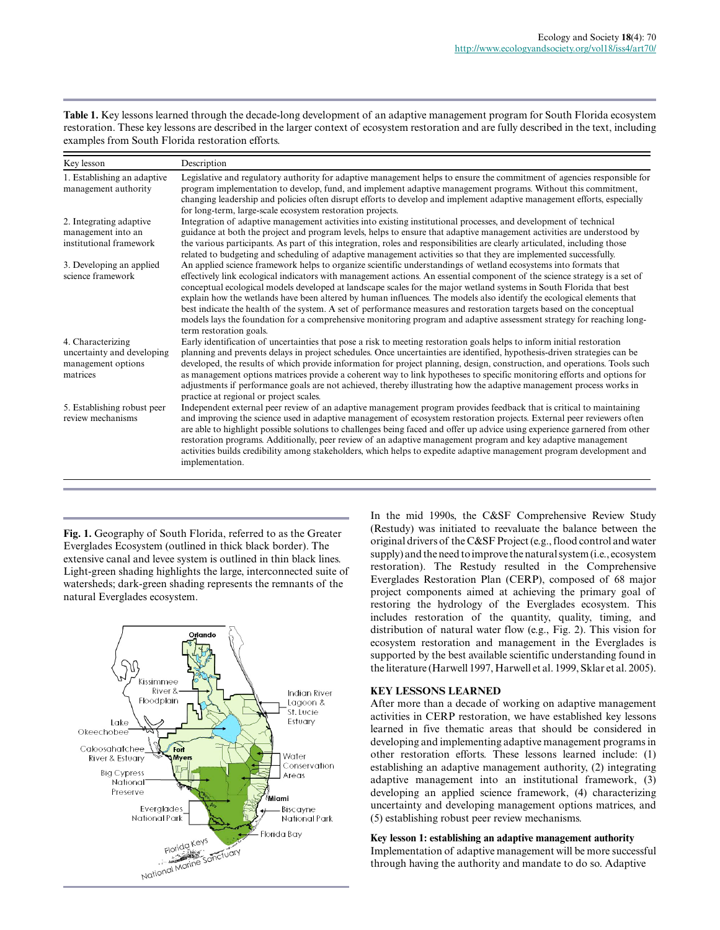**Table 1.** Key lessons learned through the decade-long development of an adaptive management program for South Florida ecosystem restoration. These key lessons are described in the larger context of ecosystem restoration and are fully described in the text, including examples from South Florida restoration efforts.

| Key lesson                                                                        | Description                                                                                                                                                                                                                                                                                                                                                                                                                                                                                                                                                                                                                                                                                                                                                                 |
|-----------------------------------------------------------------------------------|-----------------------------------------------------------------------------------------------------------------------------------------------------------------------------------------------------------------------------------------------------------------------------------------------------------------------------------------------------------------------------------------------------------------------------------------------------------------------------------------------------------------------------------------------------------------------------------------------------------------------------------------------------------------------------------------------------------------------------------------------------------------------------|
| 1. Establishing an adaptive<br>management authority                               | Legislative and regulatory authority for adaptive management helps to ensure the commitment of agencies responsible for<br>program implementation to develop, fund, and implement adaptive management programs. Without this commitment,<br>changing leadership and policies often disrupt efforts to develop and implement adaptive management efforts, especially<br>for long-term, large-scale ecosystem restoration projects.                                                                                                                                                                                                                                                                                                                                           |
| 2. Integrating adaptive<br>management into an<br>institutional framework          | Integration of adaptive management activities into existing institutional processes, and development of technical<br>guidance at both the project and program levels, helps to ensure that adaptive management activities are understood by<br>the various participants. As part of this integration, roles and responsibilities are clearly articulated, including those<br>related to budgeting and scheduling of adaptive management activities so that they are implemented successfully.                                                                                                                                                                                                                                                                               |
| 3. Developing an applied<br>science framework                                     | An applied science framework helps to organize scientific understandings of wetland ecosystems into formats that<br>effectively link ecological indicators with management actions. An essential component of the science strategy is a set of<br>conceptual ecological models developed at landscape scales for the major wetland systems in South Florida that best<br>explain how the wetlands have been altered by human influences. The models also identify the ecological elements that<br>best indicate the health of the system. A set of performance measures and restoration targets based on the conceptual<br>models lays the foundation for a comprehensive monitoring program and adaptive assessment strategy for reaching long-<br>term restoration goals. |
| 4. Characterizing<br>uncertainty and developing<br>management options<br>matrices | Early identification of uncertainties that pose a risk to meeting restoration goals helps to inform initial restoration<br>planning and prevents delays in project schedules. Once uncertainties are identified, hypothesis-driven strategies can be<br>developed, the results of which provide information for project planning, design, construction, and operations. Tools such<br>as management options matrices provide a coherent way to link hypotheses to specific monitoring efforts and options for<br>adjustments if performance goals are not achieved, thereby illustrating how the adaptive management process works in<br>practice at regional or project scales.                                                                                            |
| 5. Establishing robust peer<br>review mechanisms                                  | Independent external peer review of an adaptive management program provides feedback that is critical to maintaining<br>and improving the science used in adaptive management of ecosystem restoration projects. External peer reviewers often<br>are able to highlight possible solutions to challenges being faced and offer up advice using experience garnered from other<br>restoration programs. Additionally, peer review of an adaptive management program and key adaptive management<br>activities builds credibility among stakeholders, which helps to expedite adaptive management program development and<br>implementation.                                                                                                                                  |

**Fig. 1.** Geography of South Florida, referred to as the Greater Everglades Ecosystem (outlined in thick black border). The extensive canal and levee system is outlined in thin black lines. Light-green shading highlights the large, interconnected suite of watersheds; dark-green shading represents the remnants of the natural Everglades ecosystem.



In the mid 1990s, the C&SF Comprehensive Review Study (Restudy) was initiated to reevaluate the balance between the original drivers of the C&SF Project (e.g., flood control and water supply) and the need to improve the natural system (i.e., ecosystem restoration). The Restudy resulted in the Comprehensive Everglades Restoration Plan (CERP), composed of 68 major project components aimed at achieving the primary goal of restoring the hydrology of the Everglades ecosystem. This includes restoration of the quantity, quality, timing, and distribution of natural water flow (e.g., Fig. 2). This vision for ecosystem restoration and management in the Everglades is supported by the best available scientific understanding found in the literature (Harwell 1997, Harwell et al. 1999, Sklar et al. 2005).

## **KEY LESSONS LEARNED**

After more than a decade of working on adaptive management activities in CERP restoration, we have established key lessons learned in five thematic areas that should be considered in developing and implementing adaptive management programs in other restoration efforts. These lessons learned include: (1) establishing an adaptive management authority, (2) integrating adaptive management into an institutional framework, (3) developing an applied science framework, (4) characterizing uncertainty and developing management options matrices, and (5) establishing robust peer review mechanisms.

# **Key lesson 1: establishing an adaptive management authority**

Implementation of adaptive management will be more successful through having the authority and mandate to do so. Adaptive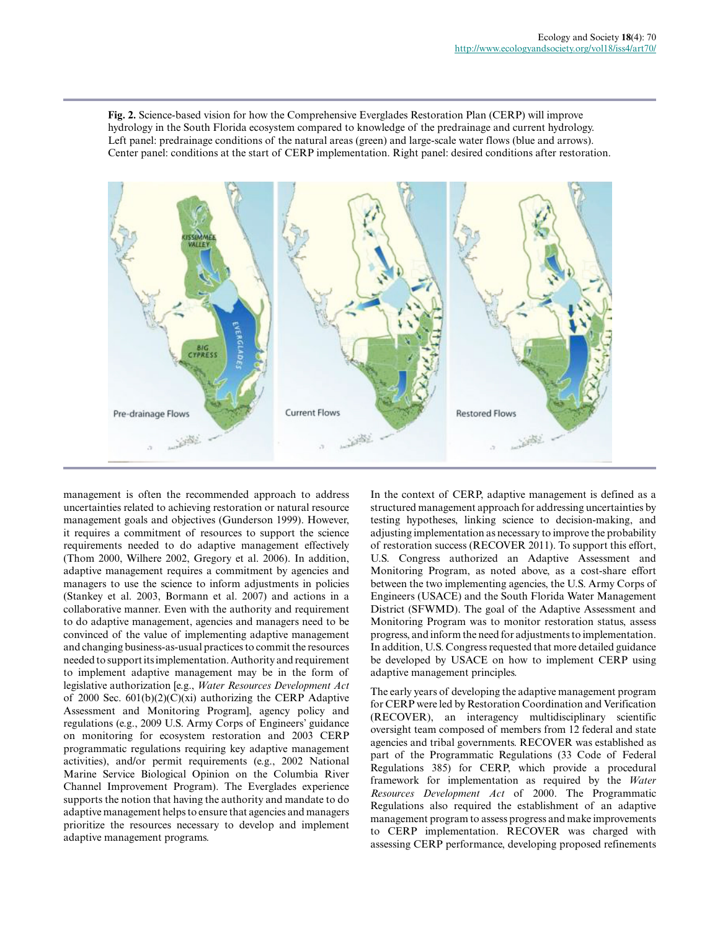**Fig. 2.** Science-based vision for how the Comprehensive Everglades Restoration Plan (CERP) will improve hydrology in the South Florida ecosystem compared to knowledge of the predrainage and current hydrology. Left panel: predrainage conditions of the natural areas (green) and large-scale water flows (blue and arrows). Center panel: conditions at the start of CERP implementation. Right panel: desired conditions after restoration.



management is often the recommended approach to address uncertainties related to achieving restoration or natural resource management goals and objectives (Gunderson 1999). However, it requires a commitment of resources to support the science requirements needed to do adaptive management effectively (Thom 2000, Wilhere 2002, Gregory et al. 2006). In addition, adaptive management requires a commitment by agencies and managers to use the science to inform adjustments in policies (Stankey et al. 2003, Bormann et al. 2007) and actions in a collaborative manner. Even with the authority and requirement to do adaptive management, agencies and managers need to be convinced of the value of implementing adaptive management and changing business-as-usual practices to commit the resources needed to support its implementation. Authority and requirement to implement adaptive management may be in the form of legislative authorization [e.g., *Water Resources Development Act* of 2000 Sec.  $601(b)(2)(C)(xi)$  authorizing the CERP Adaptive Assessment and Monitoring Program], agency policy and regulations (e.g., 2009 U.S. Army Corps of Engineers' guidance on monitoring for ecosystem restoration and 2003 CERP programmatic regulations requiring key adaptive management activities), and/or permit requirements (e.g., 2002 National Marine Service Biological Opinion on the Columbia River Channel Improvement Program). The Everglades experience supports the notion that having the authority and mandate to do adaptive management helps to ensure that agencies and managers prioritize the resources necessary to develop and implement adaptive management programs.

In the context of CERP, adaptive management is defined as a structured management approach for addressing uncertainties by testing hypotheses, linking science to decision-making, and adjusting implementation as necessary to improve the probability of restoration success (RECOVER 2011). To support this effort, U.S. Congress authorized an Adaptive Assessment and Monitoring Program, as noted above, as a cost-share effort between the two implementing agencies, the U.S. Army Corps of Engineers (USACE) and the South Florida Water Management District (SFWMD). The goal of the Adaptive Assessment and Monitoring Program was to monitor restoration status, assess progress, and inform the need for adjustments to implementation. In addition, U.S. Congress requested that more detailed guidance be developed by USACE on how to implement CERP using adaptive management principles.

The early years of developing the adaptive management program for CERP were led by Restoration Coordination and Verification (RECOVER), an interagency multidisciplinary scientific oversight team composed of members from 12 federal and state agencies and tribal governments. RECOVER was established as part of the Programmatic Regulations (33 Code of Federal Regulations 385) for CERP, which provide a procedural framework for implementation as required by the *Water Resources Development Act* of 2000. The Programmatic Regulations also required the establishment of an adaptive management program to assess progress and make improvements to CERP implementation. RECOVER was charged with assessing CERP performance, developing proposed refinements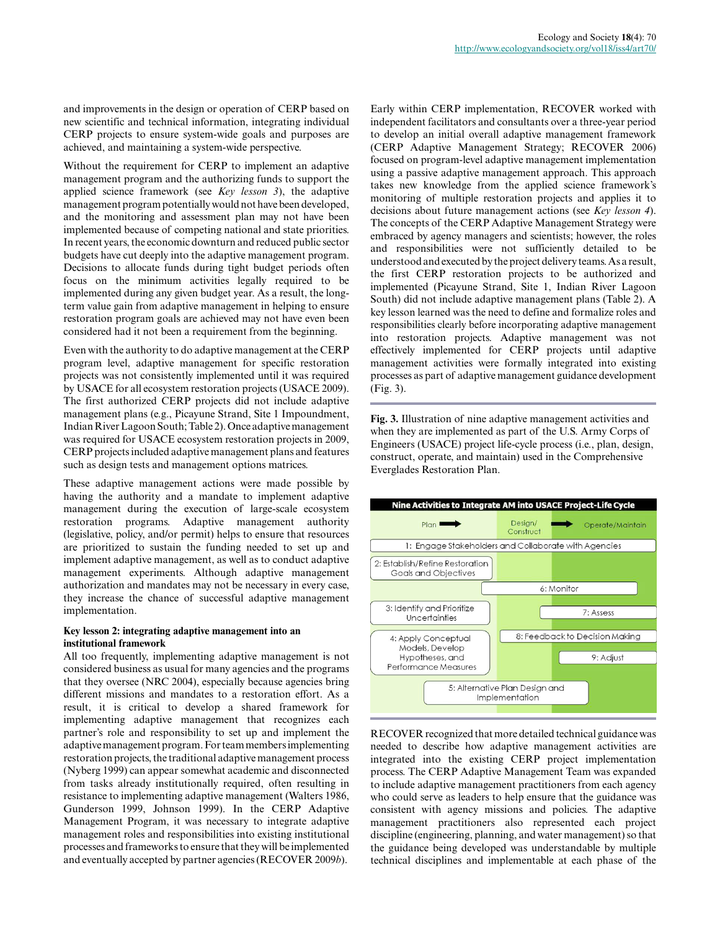and improvements in the design or operation of CERP based on new scientific and technical information, integrating individual CERP projects to ensure system-wide goals and purposes are achieved, and maintaining a system-wide perspective.

Without the requirement for CERP to implement an adaptive management program and the authorizing funds to support the applied science framework (see *Key lesson 3*), the adaptive management program potentially would not have been developed, and the monitoring and assessment plan may not have been implemented because of competing national and state priorities. In recent years, the economic downturn and reduced public sector budgets have cut deeply into the adaptive management program. Decisions to allocate funds during tight budget periods often focus on the minimum activities legally required to be implemented during any given budget year. As a result, the longterm value gain from adaptive management in helping to ensure restoration program goals are achieved may not have even been considered had it not been a requirement from the beginning.

Even with the authority to do adaptive management at the CERP program level, adaptive management for specific restoration projects was not consistently implemented until it was required by USACE for all ecosystem restoration projects (USACE 2009). The first authorized CERP projects did not include adaptive management plans (e.g., Picayune Strand, Site 1 Impoundment, Indian River Lagoon South; Table 2). Once adaptive management was required for USACE ecosystem restoration projects in 2009, CERP projects included adaptive management plans and features such as design tests and management options matrices.

These adaptive management actions were made possible by having the authority and a mandate to implement adaptive management during the execution of large-scale ecosystem restoration programs. Adaptive management authority (legislative, policy, and/or permit) helps to ensure that resources are prioritized to sustain the funding needed to set up and implement adaptive management, as well as to conduct adaptive management experiments. Although adaptive management authorization and mandates may not be necessary in every case, they increase the chance of successful adaptive management implementation.

#### **Key lesson 2: integrating adaptive management into an institutional framework**

All too frequently, implementing adaptive management is not considered business as usual for many agencies and the programs that they oversee (NRC 2004), especially because agencies bring different missions and mandates to a restoration effort. As a result, it is critical to develop a shared framework for implementing adaptive management that recognizes each partner's role and responsibility to set up and implement the adaptive management program. For team members implementing restoration projects, the traditional adaptive management process (Nyberg 1999) can appear somewhat academic and disconnected from tasks already institutionally required, often resulting in resistance to implementing adaptive management (Walters 1986, Gunderson 1999, Johnson 1999). In the CERP Adaptive Management Program, it was necessary to integrate adaptive management roles and responsibilities into existing institutional processes and frameworks to ensure that they will be implemented and eventually accepted by partner agencies (RECOVER 2009*b*).

Early within CERP implementation, RECOVER worked with independent facilitators and consultants over a three-year period to develop an initial overall adaptive management framework (CERP Adaptive Management Strategy; RECOVER 2006) focused on program-level adaptive management implementation using a passive adaptive management approach. This approach takes new knowledge from the applied science framework's monitoring of multiple restoration projects and applies it to decisions about future management actions (see *Key lesson 4*). The concepts of the CERP Adaptive Management Strategy were embraced by agency managers and scientists; however, the roles and responsibilities were not sufficiently detailed to be understood and executed by the project delivery teams. As a result, the first CERP restoration projects to be authorized and implemented (Picayune Strand, Site 1, Indian River Lagoon South) did not include adaptive management plans (Table 2). A key lesson learned was the need to define and formalize roles and responsibilities clearly before incorporating adaptive management into restoration projects. Adaptive management was not effectively implemented for CERP projects until adaptive management activities were formally integrated into existing processes as part of adaptive management guidance development (Fig. 3).

**Fig. 3.** Illustration of nine adaptive management activities and when they are implemented as part of the U.S. Army Corps of Engineers (USACE) project life-cycle process (i.e., plan, design, construct, operate, and maintain) used in the Comprehensive Everglades Restoration Plan.



RECOVER recognized that more detailed technical guidance was needed to describe how adaptive management activities are integrated into the existing CERP project implementation process. The CERP Adaptive Management Team was expanded to include adaptive management practitioners from each agency who could serve as leaders to help ensure that the guidance was consistent with agency missions and policies. The adaptive management practitioners also represented each project discipline (engineering, planning, and water management) so that the guidance being developed was understandable by multiple technical disciplines and implementable at each phase of the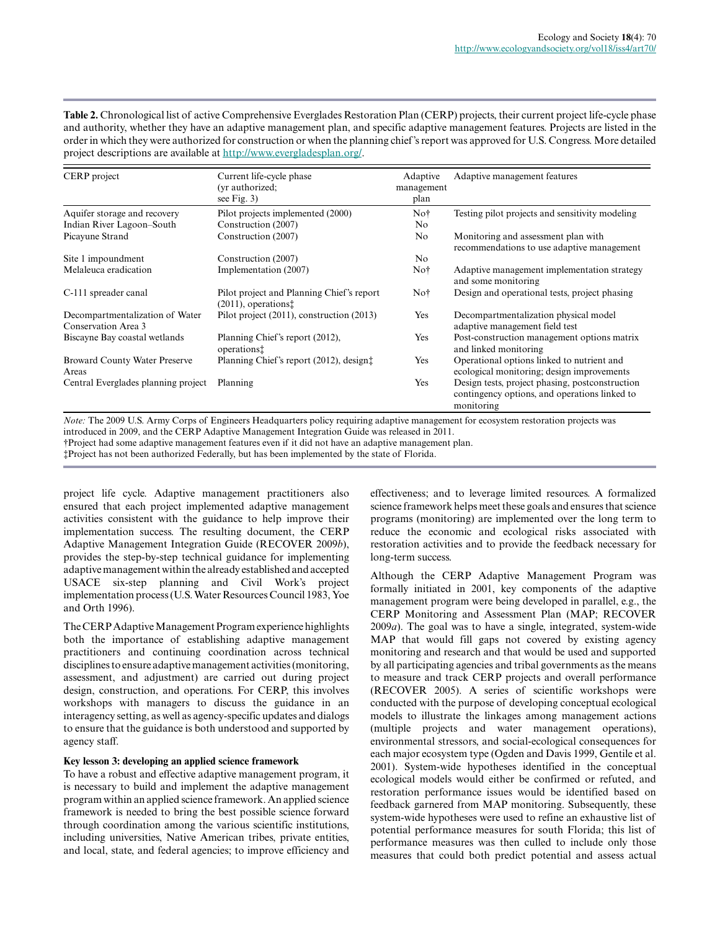Table 2. Chronological list of active Comprehensive Everglades Restoration Plan (CERP) projects, their current project life-cycle phase and authority, whether they have an adaptive management plan, and specific adaptive management features. Projects are listed in the order in which they were authorized for construction or when the planning chief's report was approved for U.S. Congress. More detailed project descriptions are available at [http://www.evergladesplan.org/.](http://www.evergladesplan.org/)

| CERP project                                           | Current life-cycle phase                                                        | Adaptive   | Adaptive management features                                                                                   |
|--------------------------------------------------------|---------------------------------------------------------------------------------|------------|----------------------------------------------------------------------------------------------------------------|
|                                                        | (vr authorized:                                                                 | management |                                                                                                                |
|                                                        | see Fig. 3)                                                                     | plan       |                                                                                                                |
| Aquifer storage and recovery                           | Pilot projects implemented (2000)                                               | Not        | Testing pilot projects and sensitivity modeling                                                                |
| Indian River Lagoon–South                              | Construction (2007)                                                             | No.        |                                                                                                                |
| Picayune Strand                                        | Construction (2007)                                                             | No         | Monitoring and assessment plan with<br>recommendations to use adaptive management                              |
| Site 1 impoundment                                     | Construction (2007)                                                             | No         |                                                                                                                |
| Melaleuca eradication                                  | Implementation (2007)                                                           | Not        | Adaptive management implementation strategy<br>and some monitoring                                             |
| C-111 spreader canal                                   | Pilot project and Planning Chief's report<br>$(2011)$ , operations <sup>†</sup> | Not        | Design and operational tests, project phasing                                                                  |
| Decompartmentalization of Water<br>Conservation Area 3 | Pilot project (2011), construction (2013)                                       | Yes        | Decompartmentalization physical model<br>adaptive management field test                                        |
| Biscayne Bay coastal wetlands                          | Planning Chief's report (2012),<br>operations <sup>†</sup>                      | Yes        | Post-construction management options matrix<br>and linked monitoring                                           |
| <b>Broward County Water Preserve</b><br>Areas          | Planning Chief's report (2012), design:                                         | Yes        | Operational options linked to nutrient and<br>ecological monitoring; design improvements                       |
| Central Everglades planning project                    | Planning                                                                        | Yes        | Design tests, project phasing, postconstruction<br>contingency options, and operations linked to<br>monitoring |

*Note:* The 2009 U.S. Army Corps of Engineers Headquarters policy requiring adaptive management for ecosystem restoration projects was introduced in 2009, and the CERP Adaptive Management Integration Guide was released in 2011.

†Project had some adaptive management features even if it did not have an adaptive management plan.

‡Project has not been authorized Federally, but has been implemented by the state of Florida.

project life cycle. Adaptive management practitioners also ensured that each project implemented adaptive management activities consistent with the guidance to help improve their implementation success. The resulting document, the CERP Adaptive Management Integration Guide (RECOVER 2009*b*), provides the step-by-step technical guidance for implementing adaptive management within the already established and accepted USACE six-step planning and Civil Work's project implementation process (U.S. Water Resources Council 1983, Yoe and Orth 1996).

The CERP Adaptive Management Program experience highlights both the importance of establishing adaptive management practitioners and continuing coordination across technical disciplines to ensure adaptive management activities (monitoring, assessment, and adjustment) are carried out during project design, construction, and operations. For CERP, this involves workshops with managers to discuss the guidance in an interagency setting, as well as agency-specific updates and dialogs to ensure that the guidance is both understood and supported by agency staff.

## **Key lesson 3: developing an applied science framework**

To have a robust and effective adaptive management program, it is necessary to build and implement the adaptive management program within an applied science framework. An applied science framework is needed to bring the best possible science forward through coordination among the various scientific institutions, including universities, Native American tribes, private entities, and local, state, and federal agencies; to improve efficiency and effectiveness; and to leverage limited resources. A formalized science framework helps meet these goals and ensures that science programs (monitoring) are implemented over the long term to reduce the economic and ecological risks associated with restoration activities and to provide the feedback necessary for long-term success.

Although the CERP Adaptive Management Program was formally initiated in 2001, key components of the adaptive management program were being developed in parallel, e.g., the CERP Monitoring and Assessment Plan (MAP; RECOVER 2009*a*). The goal was to have a single, integrated, system-wide MAP that would fill gaps not covered by existing agency monitoring and research and that would be used and supported by all participating agencies and tribal governments as the means to measure and track CERP projects and overall performance (RECOVER 2005). A series of scientific workshops were conducted with the purpose of developing conceptual ecological models to illustrate the linkages among management actions (multiple projects and water management operations), environmental stressors, and social-ecological consequences for each major ecosystem type (Ogden and Davis 1999, Gentile et al. 2001). System-wide hypotheses identified in the conceptual ecological models would either be confirmed or refuted, and restoration performance issues would be identified based on feedback garnered from MAP monitoring. Subsequently, these system-wide hypotheses were used to refine an exhaustive list of potential performance measures for south Florida; this list of performance measures was then culled to include only those measures that could both predict potential and assess actual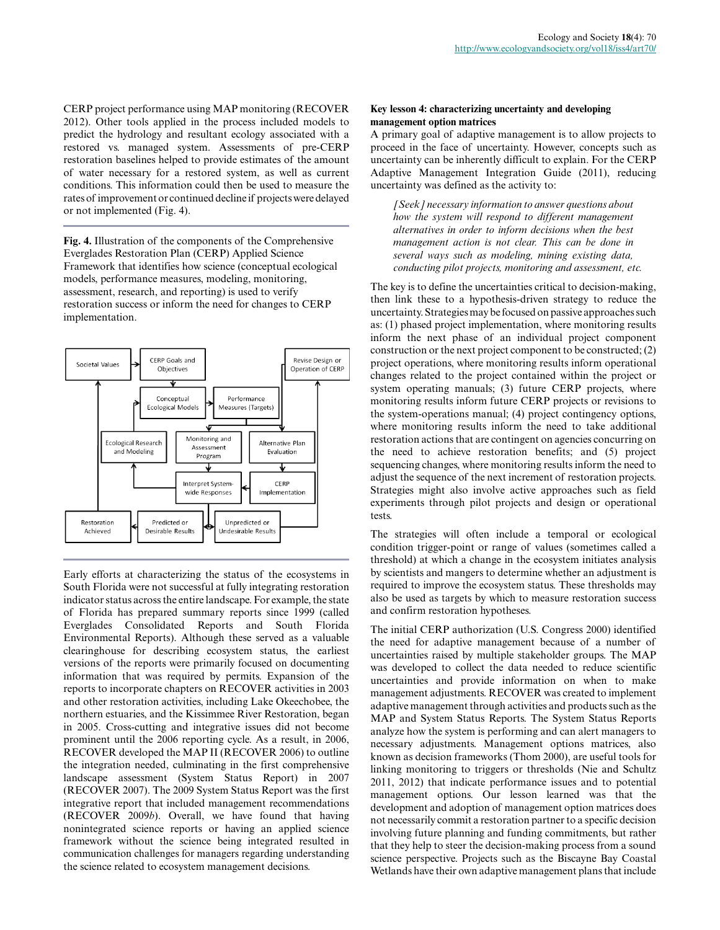CERP project performance using MAP monitoring (RECOVER 2012). Other tools applied in the process included models to predict the hydrology and resultant ecology associated with a restored vs. managed system. Assessments of pre-CERP restoration baselines helped to provide estimates of the amount of water necessary for a restored system, as well as current conditions. This information could then be used to measure the rates of improvement or continued decline if projects were delayed or not implemented (Fig. 4).

**Fig. 4.** Illustration of the components of the Comprehensive Everglades Restoration Plan (CERP) Applied Science Framework that identifies how science (conceptual ecological models, performance measures, modeling, monitoring, assessment, research, and reporting) is used to verify restoration success or inform the need for changes to CERP implementation.



Early efforts at characterizing the status of the ecosystems in South Florida were not successful at fully integrating restoration indicator status across the entire landscape. For example, the state of Florida has prepared summary reports since 1999 (called Everglades Consolidated Reports and South Florida Environmental Reports). Although these served as a valuable clearinghouse for describing ecosystem status, the earliest versions of the reports were primarily focused on documenting information that was required by permits. Expansion of the reports to incorporate chapters on RECOVER activities in 2003 and other restoration activities, including Lake Okeechobee, the northern estuaries, and the Kissimmee River Restoration, began in 2005. Cross-cutting and integrative issues did not become prominent until the 2006 reporting cycle. As a result, in 2006, RECOVER developed the MAP II (RECOVER 2006) to outline the integration needed, culminating in the first comprehensive landscape assessment (System Status Report) in 2007 (RECOVER 2007). The 2009 System Status Report was the first integrative report that included management recommendations (RECOVER 2009*b*). Overall, we have found that having nonintegrated science reports or having an applied science framework without the science being integrated resulted in communication challenges for managers regarding understanding the science related to ecosystem management decisions.

### **Key lesson 4: characterizing uncertainty and developing management option matrices**

A primary goal of adaptive management is to allow projects to proceed in the face of uncertainty. However, concepts such as uncertainty can be inherently difficult to explain. For the CERP Adaptive Management Integration Guide (2011), reducing uncertainty was defined as the activity to:

*[Seek] necessary information to answer questions about how the system will respond to different management alternatives in order to inform decisions when the best management action is not clear. This can be done in several ways such as modeling, mining existing data, conducting pilot projects, monitoring and assessment, etc.*

The key is to define the uncertainties critical to decision-making, then link these to a hypothesis-driven strategy to reduce the uncertainty. Strategies may be focused on passive approaches such as: (1) phased project implementation, where monitoring results inform the next phase of an individual project component construction or the next project component to be constructed; (2) project operations, where monitoring results inform operational changes related to the project contained within the project or system operating manuals; (3) future CERP projects, where monitoring results inform future CERP projects or revisions to the system-operations manual; (4) project contingency options, where monitoring results inform the need to take additional restoration actions that are contingent on agencies concurring on the need to achieve restoration benefits; and (5) project sequencing changes, where monitoring results inform the need to adjust the sequence of the next increment of restoration projects. Strategies might also involve active approaches such as field experiments through pilot projects and design or operational tests.

The strategies will often include a temporal or ecological condition trigger-point or range of values (sometimes called a threshold) at which a change in the ecosystem initiates analysis by scientists and mangers to determine whether an adjustment is required to improve the ecosystem status. These thresholds may also be used as targets by which to measure restoration success and confirm restoration hypotheses.

The initial CERP authorization (U.S. Congress 2000) identified the need for adaptive management because of a number of uncertainties raised by multiple stakeholder groups. The MAP was developed to collect the data needed to reduce scientific uncertainties and provide information on when to make management adjustments. RECOVER was created to implement adaptive management through activities and products such as the MAP and System Status Reports. The System Status Reports analyze how the system is performing and can alert managers to necessary adjustments. Management options matrices, also known as decision frameworks (Thom 2000), are useful tools for linking monitoring to triggers or thresholds (Nie and Schultz 2011, 2012) that indicate performance issues and to potential management options. Our lesson learned was that the development and adoption of management option matrices does not necessarily commit a restoration partner to a specific decision involving future planning and funding commitments, but rather that they help to steer the decision-making process from a sound science perspective. Projects such as the Biscayne Bay Coastal Wetlands have their own adaptive management plans that include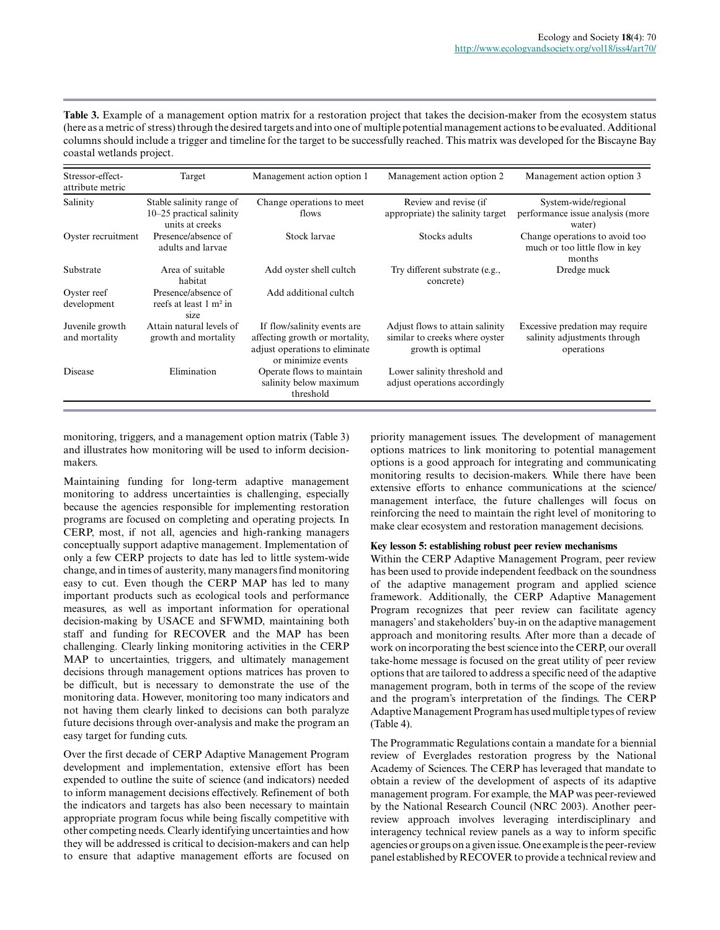**Table 3.** Example of a management option matrix for a restoration project that takes the decision-maker from the ecosystem status (here as a metric of stress) through the desired targets and into one of multiple potential management actions to be evaluated. Additional columns should include a trigger and timeline for the target to be successfully reached. This matrix was developed for the Biscayne Bay coastal wetlands project.

| Stressor-effect-<br>attribute metric | Target                                                                  | Management action option 1                                                                                            | Management action option 2                                                             | Management action option 3                                                    |
|--------------------------------------|-------------------------------------------------------------------------|-----------------------------------------------------------------------------------------------------------------------|----------------------------------------------------------------------------------------|-------------------------------------------------------------------------------|
| Salinity                             | Stable salinity range of<br>10–25 practical salinity<br>units at creeks | Change operations to meet<br>flows                                                                                    | Review and revise (if<br>appropriate) the salinity target                              | System-wide/regional<br>performance issue analysis (more<br>water)            |
| Oyster recruitment                   | Presence/absence of<br>adults and larvae                                | Stock larvae                                                                                                          | Stocks adults                                                                          | Change operations to avoid too<br>much or too little flow in key<br>months    |
| Substrate                            | Area of suitable<br>habitat                                             | Add oyster shell cultch                                                                                               | Try different substrate (e.g.,<br>concrete)                                            | Dredge muck                                                                   |
| Oyster reef<br>development           | Presence/absence of<br>reefs at least $1 \text{ m}^2$ in<br>size        | Add additional cultch                                                                                                 |                                                                                        |                                                                               |
| Juvenile growth<br>and mortality     | Attain natural levels of<br>growth and mortality                        | If flow/salinity events are<br>affecting growth or mortality,<br>adjust operations to eliminate<br>or minimize events | Adjust flows to attain salinity<br>similar to creeks where oyster<br>growth is optimal | Excessive predation may require<br>salinity adjustments through<br>operations |
| Disease                              | Elimination                                                             | Operate flows to maintain<br>salinity below maximum<br>threshold                                                      | Lower salinity threshold and<br>adjust operations accordingly                          |                                                                               |

monitoring, triggers, and a management option matrix (Table 3) and illustrates how monitoring will be used to inform decisionmakers.

Maintaining funding for long-term adaptive management monitoring to address uncertainties is challenging, especially because the agencies responsible for implementing restoration programs are focused on completing and operating projects. In CERP, most, if not all, agencies and high-ranking managers conceptually support adaptive management. Implementation of only a few CERP projects to date has led to little system-wide change, and in times of austerity, many managers find monitoring easy to cut. Even though the CERP MAP has led to many important products such as ecological tools and performance measures, as well as important information for operational decision-making by USACE and SFWMD, maintaining both staff and funding for RECOVER and the MAP has been challenging. Clearly linking monitoring activities in the CERP MAP to uncertainties, triggers, and ultimately management decisions through management options matrices has proven to be difficult, but is necessary to demonstrate the use of the monitoring data. However, monitoring too many indicators and not having them clearly linked to decisions can both paralyze future decisions through over-analysis and make the program an easy target for funding cuts.

Over the first decade of CERP Adaptive Management Program development and implementation, extensive effort has been expended to outline the suite of science (and indicators) needed to inform management decisions effectively. Refinement of both the indicators and targets has also been necessary to maintain appropriate program focus while being fiscally competitive with other competing needs. Clearly identifying uncertainties and how they will be addressed is critical to decision-makers and can help to ensure that adaptive management efforts are focused on

priority management issues. The development of management options matrices to link monitoring to potential management options is a good approach for integrating and communicating monitoring results to decision-makers. While there have been extensive efforts to enhance communications at the science/ management interface, the future challenges will focus on reinforcing the need to maintain the right level of monitoring to make clear ecosystem and restoration management decisions.

### **Key lesson 5: establishing robust peer review mechanisms**

Within the CERP Adaptive Management Program, peer review has been used to provide independent feedback on the soundness of the adaptive management program and applied science framework. Additionally, the CERP Adaptive Management Program recognizes that peer review can facilitate agency managers' and stakeholders' buy-in on the adaptive management approach and monitoring results. After more than a decade of work on incorporating the best science into the CERP, our overall take-home message is focused on the great utility of peer review options that are tailored to address a specific need of the adaptive management program, both in terms of the scope of the review and the program's interpretation of the findings. The CERP Adaptive Management Program has used multiple types of review (Table 4).

The Programmatic Regulations contain a mandate for a biennial review of Everglades restoration progress by the National Academy of Sciences. The CERP has leveraged that mandate to obtain a review of the development of aspects of its adaptive management program. For example, the MAP was peer-reviewed by the National Research Council (NRC 2003). Another peerreview approach involves leveraging interdisciplinary and interagency technical review panels as a way to inform specific agencies or groups on a given issue. One example is the peer-review panel established by RECOVER to provide a technical review and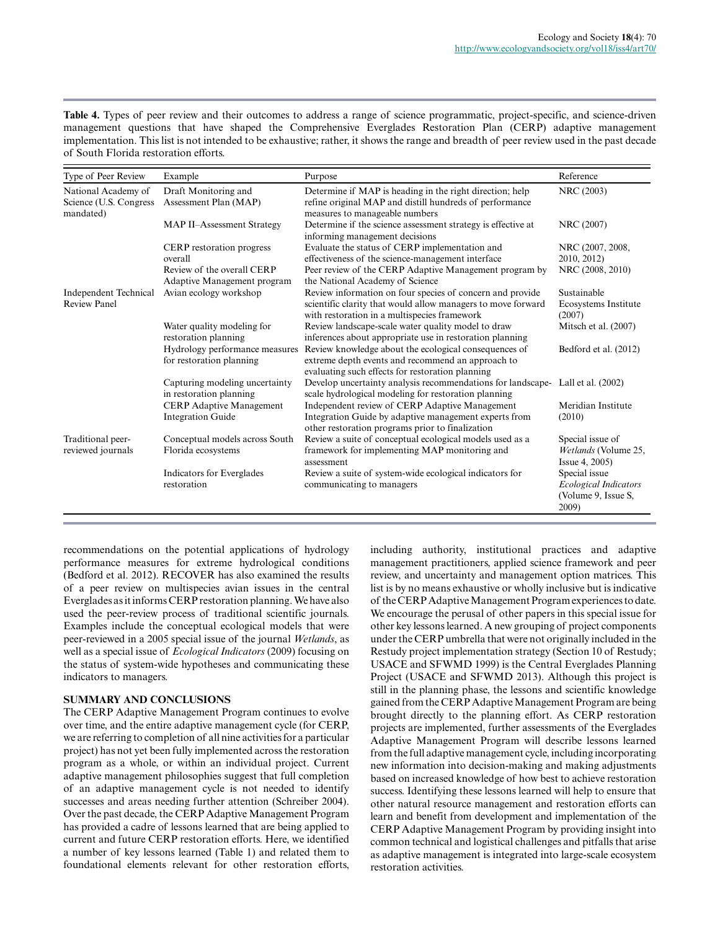Table 4. Types of peer review and their outcomes to address a range of science programmatic, project-specific, and science-driven management questions that have shaped the Comprehensive Everglades Restoration Plan (CERP) adaptive management implementation. This list is not intended to be exhaustive; rather, it shows the range and breadth of peer review used in the past decade of South Florida restoration efforts.

| Type of Peer Review                                        | Example                                                    | Purpose                                                                                                                                                                   | Reference                                                                     |
|------------------------------------------------------------|------------------------------------------------------------|---------------------------------------------------------------------------------------------------------------------------------------------------------------------------|-------------------------------------------------------------------------------|
| National Academy of<br>Science (U.S. Congress<br>mandated) | Draft Monitoring and<br>Assessment Plan (MAP)              | Determine if MAP is heading in the right direction; help<br>refine original MAP and distill hundreds of performance<br>measures to manageable numbers                     | NRC (2003)                                                                    |
|                                                            | MAP II-Assessment Strategy                                 | Determine if the science assessment strategy is effective at<br>informing management decisions                                                                            | NRC (2007)                                                                    |
|                                                            | CERP restoration progress<br>overall                       | Evaluate the status of CERP implementation and<br>effectiveness of the science-management interface                                                                       | NRC (2007, 2008,<br>2010, 2012)                                               |
|                                                            | Review of the overall CERP<br>Adaptive Management program  | Peer review of the CERP Adaptive Management program by<br>the National Academy of Science                                                                                 | NRC (2008, 2010)                                                              |
| <b>Independent Technical</b><br><b>Review Panel</b>        | Avian ecology workshop                                     | Review information on four species of concern and provide<br>scientific clarity that would allow managers to move forward<br>with restoration in a multispecies framework | Sustainable<br>Ecosystems Institute<br>(2007)                                 |
|                                                            | Water quality modeling for<br>restoration planning         | Review landscape-scale water quality model to draw<br>inferences about appropriate use in restoration planning                                                            | Mitsch et al. (2007)                                                          |
|                                                            | Hydrology performance measures<br>for restoration planning | Review knowledge about the ecological consequences of<br>extreme depth events and recommend an approach to<br>evaluating such effects for restoration planning            | Bedford et al. (2012)                                                         |
|                                                            | Capturing modeling uncertainty<br>in restoration planning  | Develop uncertainty analysis recommendations for landscape- Lall et al. (2002)<br>scale hydrological modeling for restoration planning                                    |                                                                               |
|                                                            | CERP Adaptive Management<br><b>Integration Guide</b>       | Independent review of CERP Adaptive Management<br>Integration Guide by adaptive management experts from<br>other restoration programs prior to finalization               | Meridian Institute<br>(2010)                                                  |
| Traditional peer-<br>reviewed journals                     | Conceptual models across South<br>Florida ecosystems       | Review a suite of conceptual ecological models used as a<br>framework for implementing MAP monitoring and<br>assessment                                                   | Special issue of<br>Wetlands (Volume 25,<br>Issue 4, 2005)                    |
|                                                            | Indicators for Everglades<br>restoration                   | Review a suite of system-wide ecological indicators for<br>communicating to managers                                                                                      | Special issue<br><b>Ecological Indicators</b><br>(Volume 9, Issue S,<br>2009) |

recommendations on the potential applications of hydrology performance measures for extreme hydrological conditions (Bedford et al. 2012). RECOVER has also examined the results of a peer review on multispecies avian issues in the central Everglades as it informs CERP restoration planning. We have also used the peer-review process of traditional scientific journals. Examples include the conceptual ecological models that were peer-reviewed in a 2005 special issue of the journal *Wetlands*, as well as a special issue of *Ecological Indicators* (2009) focusing on the status of system-wide hypotheses and communicating these indicators to managers.

## **SUMMARY AND CONCLUSIONS**

The CERP Adaptive Management Program continues to evolve over time, and the entire adaptive management cycle (for CERP, we are referring to completion of all nine activities for a particular project) has not yet been fully implemented across the restoration program as a whole, or within an individual project. Current adaptive management philosophies suggest that full completion of an adaptive management cycle is not needed to identify successes and areas needing further attention (Schreiber 2004). Over the past decade, the CERP Adaptive Management Program has provided a cadre of lessons learned that are being applied to current and future CERP restoration efforts. Here, we identified a number of key lessons learned (Table 1) and related them to foundational elements relevant for other restoration efforts, including authority, institutional practices and adaptive management practitioners, applied science framework and peer review, and uncertainty and management option matrices. This list is by no means exhaustive or wholly inclusive but is indicative of the CERP Adaptive Management Program experiences to date. We encourage the perusal of other papers in this special issue for other key lessons learned. A new grouping of project components under the CERP umbrella that were not originally included in the Restudy project implementation strategy (Section 10 of Restudy; USACE and SFWMD 1999) is the Central Everglades Planning Project (USACE and SFWMD 2013). Although this project is still in the planning phase, the lessons and scientific knowledge gained from the CERP Adaptive Management Program are being brought directly to the planning effort. As CERP restoration projects are implemented, further assessments of the Everglades Adaptive Management Program will describe lessons learned from the full adaptive management cycle, including incorporating new information into decision-making and making adjustments based on increased knowledge of how best to achieve restoration success. Identifying these lessons learned will help to ensure that other natural resource management and restoration efforts can learn and benefit from development and implementation of the CERP Adaptive Management Program by providing insight into common technical and logistical challenges and pitfalls that arise as adaptive management is integrated into large-scale ecosystem restoration activities.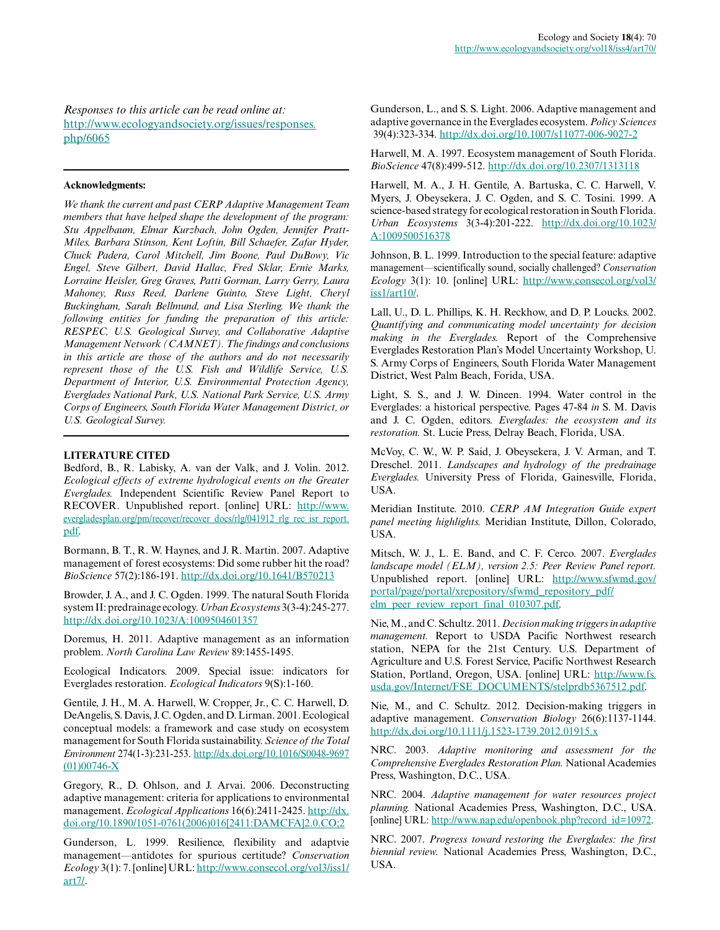*Responses to this article can be read online at:* [http://www.ecologyandsociety.org/issues/responses.](http://www.ecologyandsociety.org/issues/responses.php/6065) [php/6065](http://www.ecologyandsociety.org/issues/responses.php/6065)

#### **Acknowledgments:**

*We thank the current and past CERP Adaptive Management Team members that have helped shape the development of the program: Stu Appelbaum, Elmar Kurzbach, John Ogden, Jennifer Pratt-Miles, Barbara Stinson, Kent Loftin, Bill Schaefer, Zafar Hyder, Chuck Padera, Carol Mitchell, Jim Boone, Paul DuBowy, Vic Engel, Steve Gilbert, David Hallac, Fred Sklar, Ernie Marks, Lorraine Heisler, Greg Graves, Patti Gorman, Larry Gerry, Laura Mahoney, Russ Reed, Darlene Guinto, Steve Light, Cheryl Buckingham, Sarah Bellmund, and Lisa Sterling. We thank the following entities for funding the preparation of this article: RESPEC, U.S. Geological Survey, and Collaborative Adaptive Management Network (CAMNET). The findings and conclusions in this article are those of the authors and do not necessarily represent those of the U.S. Fish and Wildlife Service, U.S. Department of Interior, U.S. Environmental Protection Agency, Everglades National Park, U.S. National Park Service, U.S. Army Corps of Engineers, South Florida Water Management District, or U.S. Geological Survey.*

# **LITERATURE CITED**

Bedford, B., R. Labisky, A. van der Valk, and J. Volin. 2012. *Ecological effects of extreme hydrological events on the Greater Everglades.* Independent Scientific Review Panel Report to RECOVER. Unpublished report. [online] URL: [http://www.](http://www.evergladesplan.org/pm/recover/recover_docs/rlg/041912_rlg_rec_isr_report.pdf) [evergladesplan.org/pm/recover/recover\\_docs/rlg/041912\\_rlg\\_rec\\_isr\\_report.](http://www.evergladesplan.org/pm/recover/recover_docs/rlg/041912_rlg_rec_isr_report.pdf) [pdf.](http://www.evergladesplan.org/pm/recover/recover_docs/rlg/041912_rlg_rec_isr_report.pdf)

Bormann, B. T., R. W. Haynes, and J. R. Martin. 2007. Adaptive management of forest ecosystems: Did some rubber hit the road? *BioScience* 57(2):186-191. <http://dx.doi.org/10.1641/B570213>

Browder, J. A., and J. C. Ogden. 1999. The natural South Florida system II: predrainage ecology. *Urban Ecosystems* 3(3-4):245-277. <http://dx.doi.org/10.1023/A:1009504601357>

Doremus, H. 2011. Adaptive management as an information problem. *North Carolina Law Review* 89:1455-1495.

Ecological Indicators. 2009. Special issue: indicators for Everglades restoration. *Ecological Indicators* 9(S):1-160.

Gentile, J. H., M. A. Harwell, W. Cropper, Jr., C. C. Harwell, D. DeAngelis, S. Davis, J. C. Ogden, and D. Lirman. 2001. Ecological conceptual models: a framework and case study on ecosystem management for South Florida sustainability. *Science of the Total Environment* 274(1-3):231-253. [http://dx.doi.org/10.1016/S0048-9697](http://dx.doi.org/10.1016/S0048-9697(01)00746-X) [\(01\)00746-X](http://dx.doi.org/10.1016/S0048-9697(01)00746-X)

Gregory, R., D. Ohlson, and J. Arvai. 2006. Deconstructing adaptive management: criteria for applications to environmental management. *Ecological Applications* 16(6):2411-2425. [http://dx.](http://dx.doi.org/10.1890/1051-0761(2006)016[2411:DAMCFA]2.0.CO;2) [doi.org/10.1890/1051-0761\(2006\)016\[2411:DAMCFA\]2.0.CO;2](http://dx.doi.org/10.1890/1051-0761(2006)016[2411:DAMCFA]2.0.CO;2)

Gunderson, L. 1999. Resilience, flexibility and adaptvie management—antidotes for spurious certitude? *Conservation Ecology* 3(1): 7. [online] URL: [http://www.consecol.org/vol3/iss1/](http://www.consecol.org/vol3/iss1/art7/) [art7/.](http://www.consecol.org/vol3/iss1/art7/)

Gunderson, L., and S. S. Light. 2006. Adaptive management and adaptive governance in the Everglades ecosystem. *Policy Sciences* 39(4):323-334. <http://dx.doi.org/10.1007/s11077-006-9027-2>

Harwell, M. A. 1997. Ecosystem management of South Florida. *BioScience* 47(8):499-512. <http://dx.doi.org/10.2307/1313118>

Harwell, M. A., J. H. Gentile, A. Bartuska, C. C. Harwell, V. Myers, J. Obeysekera, J. C. Ogden, and S. C. Tosini. 1999. A science-based strategy for ecological restoration in South Florida. *Urban Ecosystems* 3(3-4):201-222. [http://dx.doi.org/10.1023/](http://dx.doi.org/10.1023/A:1009500516378) [A:1009500516378](http://dx.doi.org/10.1023/A:1009500516378)

Johnson, B. L. 1999. Introduction to the special feature: adaptive management—scientifically sound, socially challenged? *Conservation Ecology* 3(1): 10. [online] URL: [http://www.consecol.org/vol3/](http://www.consecol.org/vol3/iss1/art10/) [iss1/art10/.](http://www.consecol.org/vol3/iss1/art10/)

Lall, U., D. L. Phillips, K. H. Reckhow, and D. P. Loucks. 2002. *Quantifying and communicating model uncertainty for decision making in the Everglades.* Report of the Comprehensive Everglades Restoration Plan's Model Uncertainty Workshop, U. S. Army Corps of Engineers, South Florida Water Management District, West Palm Beach, Forida, USA.

Light, S. S., and J. W. Dineen. 1994. Water control in the Everglades: a historical perspective. Pages 47-84 *in* S. M. Davis and J. C. Ogden, editors. *Everglades: the ecosystem and its restoration.* St. Lucie Press, Delray Beach, Florida, USA.

McVoy, C. W., W. P. Said, J. Obeysekera, J. V. Arman, and T. Dreschel. 2011. *Landscapes and hydrology of the predrainage Everglades.* University Press of Florida, Gainesville, Florida, USA.

Meridian Institute. 2010. *CERP AM Integration Guide expert panel meeting highlights.* Meridian Institute, Dillon, Colorado, USA.

Mitsch, W. J., L. E. Band, and C. F. Cerco. 2007. *Everglades landscape model (ELM), version 2.5: Peer Review Panel report.* Unpublished report. [online] URL: [http://www.sfwmd.gov/](http://www.sfwmd.gov/portal/page/portal/xrepository/sfwmd_repository_pdf/elm_peer_review_report_final_010307.pdf) [portal/page/portal/xrepository/sfwmd\\_repository\\_pdf/](http://www.sfwmd.gov/portal/page/portal/xrepository/sfwmd_repository_pdf/elm_peer_review_report_final_010307.pdf) [elm\\_peer\\_review\\_report\\_final\\_010307.pdf.](http://www.sfwmd.gov/portal/page/portal/xrepository/sfwmd_repository_pdf/elm_peer_review_report_final_010307.pdf)

Nie, M., and C. Schultz. 2011. *Decision making triggers in adaptive management.* Report to USDA Pacific Northwest research station, NEPA for the 21st Century. U.S. Department of Agriculture and U.S. Forest Service, Pacific Northwest Research Station, Portland, Oregon, USA. [online] URL: [http://www.fs.](http://www.fs.usda.gov/Internet/FSE_DOCUMENTS/stelprdb5367512.pdf) [usda.gov/Internet/FSE\\_DOCUMENTS/stelprdb5367512.pdf.](http://www.fs.usda.gov/Internet/FSE_DOCUMENTS/stelprdb5367512.pdf)

Nie, M., and C. Schultz. 2012. Decision-making triggers in adaptive management. *Conservation Biology* 26(6):1137-1144. <http://dx.doi.org/10.1111/j.1523-1739.2012.01915.x>

NRC. 2003. *Adaptive monitoring and assessment for the Comprehensive Everglades Restoration Plan.* National Academies Press, Washington, D.C., USA.

NRC. 2004. *Adaptive management for water resources project planning.* National Academies Press, Washington, D.C., USA. [online] URL: [http://www.nap.edu/openbook.php?record\\_id=10972.](http://www.nap.edu/openbook.php?record_id=10972)

NRC. 2007. *Progress toward restoring the Everglades: the first biennial review.* National Academies Press, Washington, D.C., USA.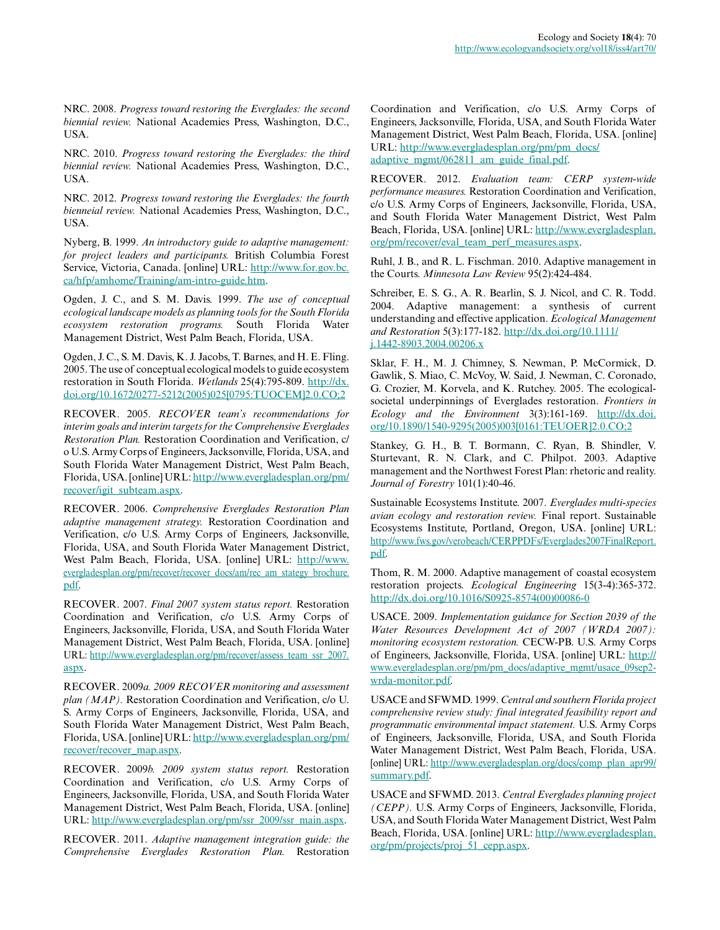NRC. 2008. *Progress toward restoring the Everglades: the second biennial review.* National Academies Press, Washington, D.C., USA.

NRC. 2010. *Progress toward restoring the Everglades: the third biennial review.* National Academies Press, Washington, D.C., USA.

NRC. 2012. *Progress toward restoring the Everglades: the fourth bienneial review.* National Academies Press, Washington, D.C., USA.

Nyberg, B. 1999. *An introductory guide to adaptive management: for project leaders and participants.* British Columbia Forest Service, Victoria, Canada. [online] URL: [http://www.for.gov.bc.](http://www.for.gov.bc.ca/hfp/amhome/Training/am-intro-guide.htm) [ca/hfp/amhome/Training/am-intro-guide.htm.](http://www.for.gov.bc.ca/hfp/amhome/Training/am-intro-guide.htm)

Ogden, J. C., and S. M. Davis. 1999. *The use of conceptual ecological landscape models as planning tools for the South Florida ecosystem restoration programs.* South Florida Water Management District, West Palm Beach, Florida, USA.

Ogden, J. C., S. M. Davis, K. J. Jacobs, T. Barnes, and H. E. Fling. 2005. The use of conceptual ecological models to guide ecosystem restoration in South Florida. *Wetlands* 25(4):795-809. [http://dx.](http://dx.doi.org/10.1672/0277-5212(2005)025[0795:TUOCEM]2.0.CO;2) [doi.org/10.1672/0277-5212\(2005\)025\[0795:TUOCEM\]2.0.CO;2](http://dx.doi.org/10.1672/0277-5212(2005)025[0795:TUOCEM]2.0.CO;2)

RECOVER. 2005. *RECOVER team's recommendations for interim goals and interim targets for the Comprehensive Everglades Restoration Plan.* Restoration Coordination and Verification, c/ o U.S. Army Corps of Engineers, Jacksonville, Florida, USA, and South Florida Water Management District, West Palm Beach, Florida, USA. [online] URL: [http://www.evergladesplan.org/pm/](http://www.evergladesplan.org/pm/recover/igit_subteam.aspx) [recover/igit\\_subteam.aspx](http://www.evergladesplan.org/pm/recover/igit_subteam.aspx).

RECOVER. 2006. *Comprehensive Everglades Restoration Plan adaptive management strategy.* Restoration Coordination and Verification, c/o U.S. Army Corps of Engineers, Jacksonville, Florida, USA, and South Florida Water Management District, West Palm Beach, Florida, USA. [online] URL: [http://www.](http://www.evergladesplan.org/pm/recover/recover_docs/am/rec_am_stategy_brochure.pdf) [evergladesplan.org/pm/recover/recover\\_docs/am/rec\\_am\\_stategy\\_brochure.](http://www.evergladesplan.org/pm/recover/recover_docs/am/rec_am_stategy_brochure.pdf) [pdf.](http://www.evergladesplan.org/pm/recover/recover_docs/am/rec_am_stategy_brochure.pdf)

RECOVER. 2007. *Final 2007 system status report.* Restoration Coordination and Verification, c/o U.S. Army Corps of Engineers, Jacksonville, Florida, USA, and South Florida Water Management District, West Palm Beach, Florida, USA. [online] URL: [http://www.evergladesplan.org/pm/recover/assess\\_team\\_ssr\\_2007.](http://www.evergladesplan.org/pm/recover/assess_team_ssr_2007.aspx) [aspx](http://www.evergladesplan.org/pm/recover/assess_team_ssr_2007.aspx).

RECOVER. 2009*a. 2009 RECOVER monitoring and assessment plan (MAP).* Restoration Coordination and Verification, c/o U. S. Army Corps of Engineers, Jacksonville, Florida, USA, and South Florida Water Management District, West Palm Beach, Florida, USA. [online] URL: [http://www.evergladesplan.org/pm/](http://www.evergladesplan.org/pm/recover/recover_map.aspx) [recover/recover\\_map.aspx](http://www.evergladesplan.org/pm/recover/recover_map.aspx).

RECOVER. 2009*b. 2009 system status report.* Restoration Coordination and Verification, c/o U.S. Army Corps of Engineers, Jacksonville, Florida, USA, and South Florida Water Management District, West Palm Beach, Florida, USA. [online] URL: [http://www.evergladesplan.org/pm/ssr\\_2009/ssr\\_main.aspx](http://www.evergladesplan.org/pm/ssr_2009/ssr_main.aspx).

RECOVER. 2011. *Adaptive management integration guide: the Comprehensive Everglades Restoration Plan.* Restoration Coordination and Verification, c/o U.S. Army Corps of Engineers, Jacksonville, Florida, USA, and South Florida Water Management District, West Palm Beach, Florida, USA. [online] URL: [http://www.evergladesplan.org/pm/pm\\_docs/](http://www.evergladesplan.org/pm/pm_docs/adaptive_mgmt/062811_am_guide_final.pdf) [adaptive\\_mgmt/062811\\_am\\_guide\\_final.pdf.](http://www.evergladesplan.org/pm/pm_docs/adaptive_mgmt/062811_am_guide_final.pdf)

RECOVER. 2012. *Evaluation team: CERP system-wide performance measures.* Restoration Coordination and Verification, c/o U.S. Army Corps of Engineers, Jacksonville, Florida, USA, and South Florida Water Management District, West Palm Beach, Florida, USA. [online] URL: [http://www.evergladesplan.](http://www.evergladesplan.org/pm/recover/eval_team_perf_measures.aspx) [org/pm/recover/eval\\_team\\_perf\\_measures.aspx](http://www.evergladesplan.org/pm/recover/eval_team_perf_measures.aspx).

Ruhl, J. B., and R. L. Fischman. 2010. Adaptive management in the Courts. *Minnesota Law Review* 95(2):424-484.

Schreiber, E. S. G., A. R. Bearlin, S. J. Nicol, and C. R. Todd. 2004. Adaptive management: a synthesis of current understanding and effective application. *Ecological Management and Restoration* 5(3):177-182. [http://dx.doi.org/10.1111/](http://dx.doi.org/10.1111/j.1442-8903.2004.00206.x) [j.1442-8903.2004.00206.x](http://dx.doi.org/10.1111/j.1442-8903.2004.00206.x)

Sklar, F. H., M. J. Chimney, S. Newman, P. McCormick, D. Gawlik, S. Miao, C. McVoy, W. Said, J. Newman, C. Coronado, G. Crozier, M. Korvela, and K. Rutchey. 2005. The ecologicalsocietal underpinnings of Everglades restoration. *Frontiers in Ecology and the Environment* 3(3):161-169. [http://dx.doi.](http://dx.doi.org/10.1890/1540-9295(2005)003[0161:TEUOER]2.0.CO;2) [org/10.1890/1540-9295\(2005\)003\[0161:TEUOER\]2.0.CO;2](http://dx.doi.org/10.1890/1540-9295(2005)003[0161:TEUOER]2.0.CO;2)

Stankey, G. H., B. T. Bormann, C. Ryan, B. Shindler, V. Sturtevant, R. N. Clark, and C. Philpot. 2003. Adaptive management and the Northwest Forest Plan: rhetoric and reality. *Journal of Forestry* 101(1):40-46.

Sustainable Ecosystems Institute. 2007. *Everglades multi-species avian ecology and restoration review.* Final report. Sustainable Ecosystems Institute, Portland, Oregon, USA. [online] URL: [http://www.fws.gov/verobeach/CERPPDFs/Everglades2007FinalReport.](http://www.fws.gov/verobeach/CERPPDFs/Everglades2007FinalReport.pdf) [pdf.](http://www.fws.gov/verobeach/CERPPDFs/Everglades2007FinalReport.pdf)

Thom, R. M. 2000. Adaptive management of coastal ecosystem restoration projects. *Ecological Engineering* 15(3-4):365-372. [http://dx.doi.org/10.1016/S0925-8574\(00\)00086-0](http://dx.doi.org/10.1016/S0925-8574(00)00086-0)

USACE. 2009. *Implementation guidance for Section 2039 of the Water Resources Development Act of 2007 (WRDA 2007): monitoring ecosystem restoration.* CECW-PB. U.S. Army Corps of Engineers, Jacksonville, Florida, USA. [online] URL: [http://](http://www.evergladesplan.org/pm/pm_docs/adaptive_mgmt/usace_09sep2-wrda-monitor.pdf) [www.evergladesplan.org/pm/pm\\_docs/adaptive\\_mgmt/usace\\_09sep2](http://www.evergladesplan.org/pm/pm_docs/adaptive_mgmt/usace_09sep2-wrda-monitor.pdf) [wrda-monitor.pdf.](http://www.evergladesplan.org/pm/pm_docs/adaptive_mgmt/usace_09sep2-wrda-monitor.pdf)

USACE and SFWMD. 1999. *Central and southern Florida project comprehensive review study: final integrated feasibility report and programmatic environmental impact statement.* U.S. Army Corps of Engineers, Jacksonville, Florida, USA, and South Florida Water Management District, West Palm Beach, Florida, USA. [online] URL: [http://www.evergladesplan.org/docs/comp\\_plan\\_apr99/](http://www.evergladesplan.org/docs/comp_plan_apr99/summary.pdf) [summary.pdf.](http://www.evergladesplan.org/docs/comp_plan_apr99/summary.pdf)

USACE and SFWMD. 2013. *Central Everglades planning project (CEPP).* U.S. Army Corps of Engineers, Jacksonville, Florida, USA, and South Florida Water Management District, West Palm Beach, Florida, USA. [online] URL: [http://www.evergladesplan.](http://www.evergladesplan.org/pm/projects/proj_51_cepp.aspx) [org/pm/projects/proj\\_51\\_cepp.aspx](http://www.evergladesplan.org/pm/projects/proj_51_cepp.aspx).